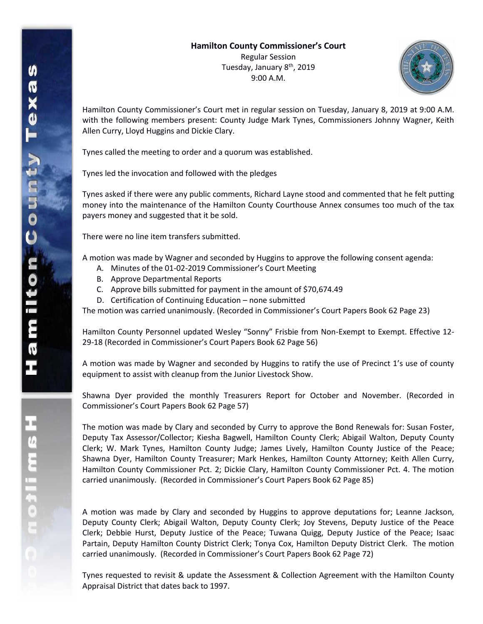

Hamilton County Commissioner's Court met in regular session on Tuesday, January 8, 2019 at 9:00 A.M. with the following members present: County Judge Mark Tynes, Commissioners Johnny Wagner, Keith Allen Curry, Lloyd Huggins and Dickie Clary.

Tynes called the meeting to order and a quorum was established.

Tynes led the invocation and followed with the pledges

Tynes asked if there were any public comments, Richard Layne stood and commented that he felt putting money into the maintenance of the Hamilton County Courthouse Annex consumes too much of the tax payers money and suggested that it be sold.

There were no line item transfers submitted.

A motion was made by Wagner and seconded by Huggins to approve the following consent agenda:

- A. Minutes of the 01-02-2019 Commissioner's Court Meeting
- B. Approve Departmental Reports
- C. Approve bills submitted for payment in the amount of \$70,674.49
- D. Certification of Continuing Education none submitted

The motion was carried unanimously. (Recorded in Commissioner's Court Papers Book 62 Page 23)

Hamilton County Personnel updated Wesley "Sonny" Frisbie from Non-Exempt to Exempt. Effective 12- 29-18 (Recorded in Commissioner's Court Papers Book 62 Page 56)

A motion was made by Wagner and seconded by Huggins to ratify the use of Precinct 1's use of county equipment to assist with cleanup from the Junior Livestock Show.

Shawna Dyer provided the monthly Treasurers Report for October and November. (Recorded in Commissioner's Court Papers Book 62 Page 57)

The motion was made by Clary and seconded by Curry to approve the Bond Renewals for: Susan Foster, Deputy Tax Assessor/Collector; Kiesha Bagwell, Hamilton County Clerk; Abigail Walton, Deputy County Clerk; W. Mark Tynes, Hamilton County Judge; James Lively, Hamilton County Justice of the Peace; Shawna Dyer, Hamilton County Treasurer; Mark Henkes, Hamilton County Attorney; Keith Allen Curry, Hamilton County Commissioner Pct. 2; Dickie Clary, Hamilton County Commissioner Pct. 4. The motion carried unanimously. (Recorded in Commissioner's Court Papers Book 62 Page 85)

A motion was made by Clary and seconded by Huggins to approve deputations for; Leanne Jackson, Deputy County Clerk; Abigail Walton, Deputy County Clerk; Joy Stevens, Deputy Justice of the Peace Clerk; Debbie Hurst, Deputy Justice of the Peace; Tuwana Quigg, Deputy Justice of the Peace; Isaac Partain, Deputy Hamilton County District Clerk; Tonya Cox, Hamilton Deputy District Clerk. The motion carried unanimously. (Recorded in Commissioner's Court Papers Book 62 Page 72)

Tynes requested to revisit & update the Assessment & Collection Agreement with the Hamilton County Appraisal District that dates back to 1997.